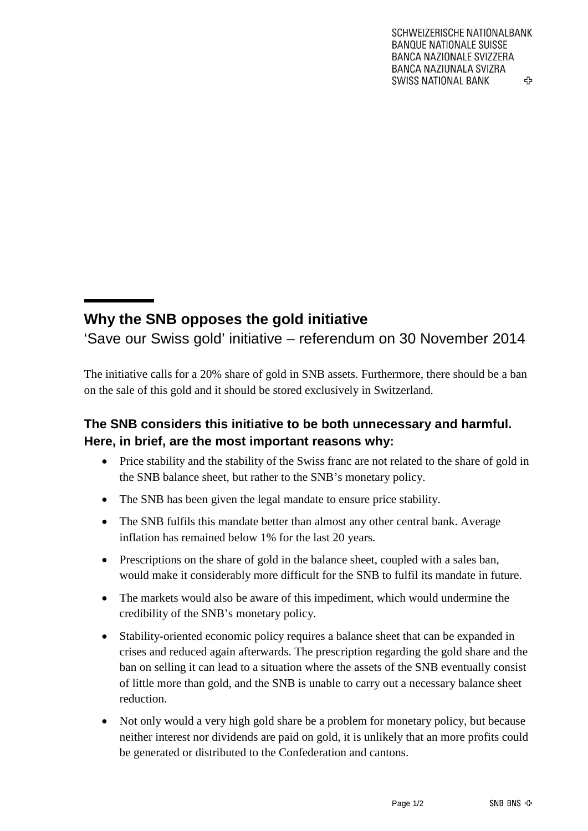## **Why the SNB opposes the gold initiative**

'Save our Swiss gold' initiative – referendum on 30 November 2014

The initiative calls for a 20% share of gold in SNB assets. Furthermore, there should be a ban on the sale of this gold and it should be stored exclusively in Switzerland.

## **The SNB considers this initiative to be both unnecessary and harmful. Here, in brief, are the most important reasons why:**

- Price stability and the stability of the Swiss franc are not related to the share of gold in the SNB balance sheet, but rather to the SNB's monetary policy.
- The SNB has been given the legal mandate to ensure price stability.
- The SNB fulfils this mandate better than almost any other central bank. Average inflation has remained below 1% for the last 20 years.
- Prescriptions on the share of gold in the balance sheet, coupled with a sales ban, would make it considerably more difficult for the SNB to fulfil its mandate in future.
- The markets would also be aware of this impediment, which would undermine the credibility of the SNB's monetary policy.
- Stability-oriented economic policy requires a balance sheet that can be expanded in crises and reduced again afterwards. The prescription regarding the gold share and the ban on selling it can lead to a situation where the assets of the SNB eventually consist of little more than gold, and the SNB is unable to carry out a necessary balance sheet reduction.
- Not only would a very high gold share be a problem for monetary policy, but because neither interest nor dividends are paid on gold, it is unlikely that an more profits could be generated or distributed to the Confederation and cantons.